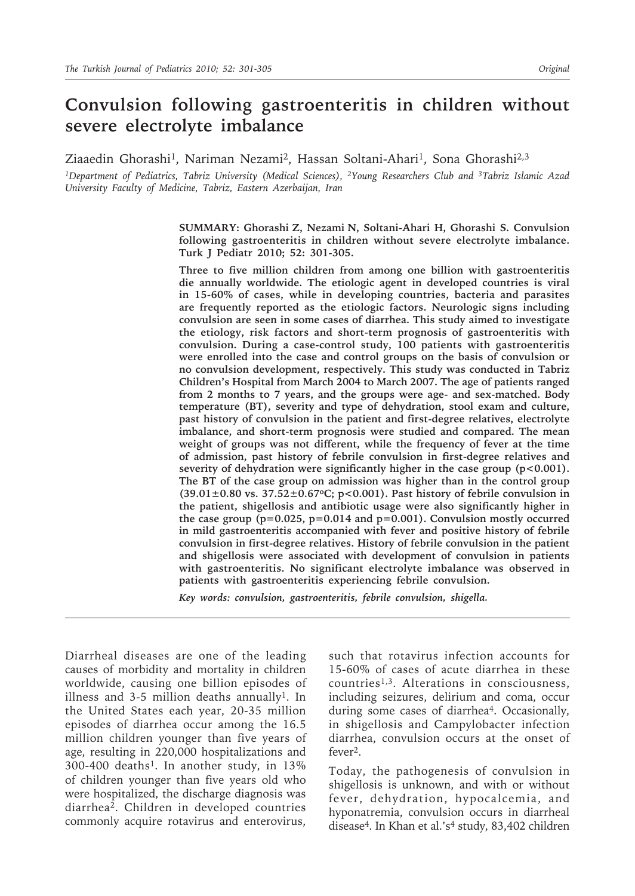# **Convulsion following gastroenteritis in children without severe electrolyte imbalance**

### Ziaaedin Ghorashi<sup>1</sup>, Nariman Nezami<sup>2</sup>, Hassan Soltani-Ahari<sup>1</sup>, Sona Ghorashi<sup>2,3</sup>

*1Department of Pediatrics, Tabriz University (Medical Sciences), 2Young Researchers Club and 3Tabriz Islamic Azad University Faculty of Medicine, Tabriz, Eastern Azerbaijan, Iran*

> **SUMMARY: Ghorashi Z, Nezami N, Soltani-Ahari H, Ghorashi S. Convulsion following gastroenteritis in children without severe electrolyte imbalance. Turk J Pediatr 2010; 52: 301-305.**

> **Three to five million children from among one billion with gastroenteritis die annually worldwide. The etiologic agent in developed countries is viral in 15-60% of cases, while in developing countries, bacteria and parasites are frequently reported as the etiologic factors. Neurologic signs including convulsion are seen in some cases of diarrhea. This study aimed to investigate the etiology, risk factors and short-term prognosis of gastroenteritis with convulsion. During a case-control study, 100 patients with gastroenteritis were enrolled into the case and control groups on the basis of convulsion or no convulsion development, respectively. This study was conducted in Tabriz Children's Hospital from March 2004 to March 2007. The age of patients ranged from 2 months to 7 years, and the groups were age- and sex-matched. Body temperature (BT), severity and type of dehydration, stool exam and culture, past history of convulsion in the patient and first-degree relatives, electrolyte imbalance, and short-term prognosis were studied and compared. The mean weight of groups was not different, while the frequency of fever at the time of admission, past history of febrile convulsion in first-degree relatives and severity of dehydration were significantly higher in the case group (p<0.001). The BT of the case group on admission was higher than in the control group (39.01±0.80 vs. 37.52±0.67oC; p<0.001). Past history of febrile convulsion in the patient, shigellosis and antibiotic usage were also significantly higher in the case group (p=0.025, p=0.014 and p=0.001). Convulsion mostly occurred in mild gastroenteritis accompanied with fever and positive history of febrile convulsion in first-degree relatives. History of febrile convulsion in the patient and shigellosis were associated with development of convulsion in patients with gastroenteritis. No significant electrolyte imbalance was observed in patients with gastroenteritis experiencing febrile convulsion.**

*Key words: convulsion, gastroenteritis, febrile convulsion, shigella.*

Diarrheal diseases are one of the leading causes of morbidity and mortality in children worldwide, causing one billion episodes of illness and 3-5 million deaths annually<sup>1</sup>. In the United States each year, 20-35 million episodes of diarrhea occur among the 16.5 million children younger than five years of age, resulting in 220,000 hospitalizations and  $300-400$  deaths<sup>1</sup>. In another study, in  $13\%$ of children younger than five years old who were hospitalized, the discharge diagnosis was diarrhea2. Children in developed countries commonly acquire rotavirus and enterovirus,

such that rotavirus infection accounts for 15-60% of cases of acute diarrhea in these countries<sup>1,3</sup>. Alterations in consciousness, including seizures, delirium and coma, occur during some cases of diarrhea<sup>4</sup>. Occasionally, in shigellosis and Campylobacter infection diarrhea, convulsion occurs at the onset of fever2.

Today, the pathogenesis of convulsion in shigellosis is unknown, and with or without fever, dehydration, hypocalcemia, and hyponatremia, convulsion occurs in diarrheal disease<sup>4</sup>. In Khan et al.'s<sup>4</sup> study, 83,402 children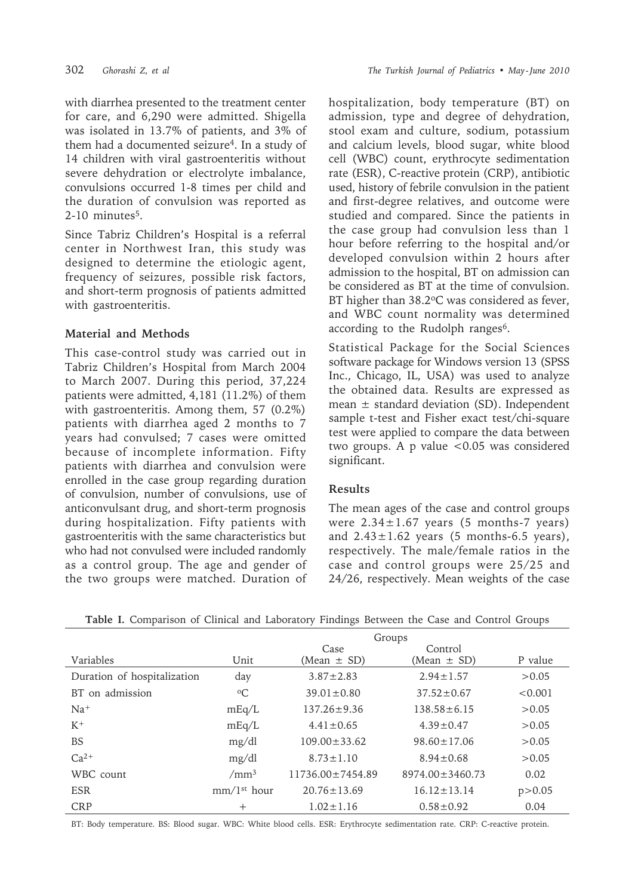with diarrhea presented to the treatment center for care, and 6,290 were admitted. Shigella was isolated in 13.7% of patients, and 3% of them had a documented seizure<sup>4</sup>. In a study of 14 children with viral gastroenteritis without severe dehydration or electrolyte imbalance, convulsions occurred 1-8 times per child and the duration of convulsion was reported as  $2-10$  minutes<sup>5</sup>.

Since Tabriz Children's Hospital is a referral center in Northwest Iran, this study was designed to determine the etiologic agent, frequency of seizures, possible risk factors, and short-term prognosis of patients admitted with gastroenteritis.

# **Material and Methods**

This case-control study was carried out in Tabriz Children's Hospital from March 2004 to March 2007. During this period, 37,224 patients were admitted, 4,181 (11.2%) of them with gastroenteritis. Among them, 57 (0.2%) patients with diarrhea aged 2 months to 7 years had convulsed; 7 cases were omitted because of incomplete information. Fifty patients with diarrhea and convulsion were enrolled in the case group regarding duration of convulsion, number of convulsions, use of anticonvulsant drug, and short-term prognosis during hospitalization. Fifty patients with gastroenteritis with the same characteristics but who had not convulsed were included randomly as a control group. The age and gender of the two groups were matched. Duration of hospitalization, body temperature (BT) on admission, type and degree of dehydration, stool exam and culture, sodium, potassium and calcium levels, blood sugar, white blood cell (WBC) count, erythrocyte sedimentation rate (ESR), C-reactive protein (CRP), antibiotic used, history of febrile convulsion in the patient and first-degree relatives, and outcome were studied and compared. Since the patients in the case group had convulsion less than 1 hour before referring to the hospital and/or developed convulsion within 2 hours after admission to the hospital, BT on admission can be considered as BT at the time of convulsion. BT higher than 38.2°C was considered as fever, and WBC count normality was determined according to the Rudolph ranges<sup>6</sup>.

Statistical Package for the Social Sciences software package for Windows version 13 (SPSS Inc., Chicago, IL, USA) was used to analyze the obtained data. Results are expressed as mean  $\pm$  standard deviation (SD). Independent sample t-test and Fisher exact test/chi-square test were applied to compare the data between two groups. A p value  $< 0.05$  was considered significant.

## **Results**

The mean ages of the case and control groups were  $2.34 \pm 1.67$  years (5 months-7 years) and  $2.43 \pm 1.62$  years (5 months-6.5 years), respectively. The male/female ratios in the case and control groups were 25/25 and 24/26, respectively. Mean weights of the case

|                             | Groups                  |                        |                       |          |  |  |  |
|-----------------------------|-------------------------|------------------------|-----------------------|----------|--|--|--|
|                             |                         | Case                   | Control               |          |  |  |  |
| Variables                   | Unit                    | $(Mean \pm SD)$        | (Mean $\pm$ SD)       | P value  |  |  |  |
| Duration of hospitalization | day                     | $3.87 \pm 2.83$        | $2.94 \pm 1.57$       | > 0.05   |  |  |  |
| BT on admission             | $\rm ^{o}C$             | $39.01 \pm 0.80$       | $37.52 \pm 0.67$      | < 0.001  |  |  |  |
| $Na+$                       | mEq/L                   | $137.26 \pm 9.36$      | $138.58 \pm 6.15$     | >0.05    |  |  |  |
| $K^+$                       | mEq/L                   | $4.41 \pm 0.65$        | $4.39 \pm 0.47$       | >0.05    |  |  |  |
| <b>BS</b>                   | mg/dl                   | $109.00 \pm 33.62$     | $98.60 \pm 17.06$     | > 0.05   |  |  |  |
| $Ca^{2+}$                   | mg/dl                   | $8.73 \pm 1.10$        | $8.94 \pm 0.68$       | >0.05    |  |  |  |
| WBC count                   | /mm <sup>3</sup>        | $11736.00 \pm 7454.89$ | $8974.00 \pm 3460.73$ | 0.02     |  |  |  |
| <b>ESR</b>                  | mm/1 <sup>st</sup> hour | $20.76 \pm 13.69$      | $16.12 \pm 13.14$     | p > 0.05 |  |  |  |
| <b>CRP</b>                  | $^{+}$                  | $1.02 \pm 1.16$        | $0.58 \pm 0.92$       | 0.04     |  |  |  |

**Table I.** Comparison of Clinical and Laboratory Findings Between the Case and Control Groups

BT: Body temperature. BS: Blood sugar. WBC: White blood cells. ESR: Erythrocyte sedimentation rate. CRP: C-reactive protein.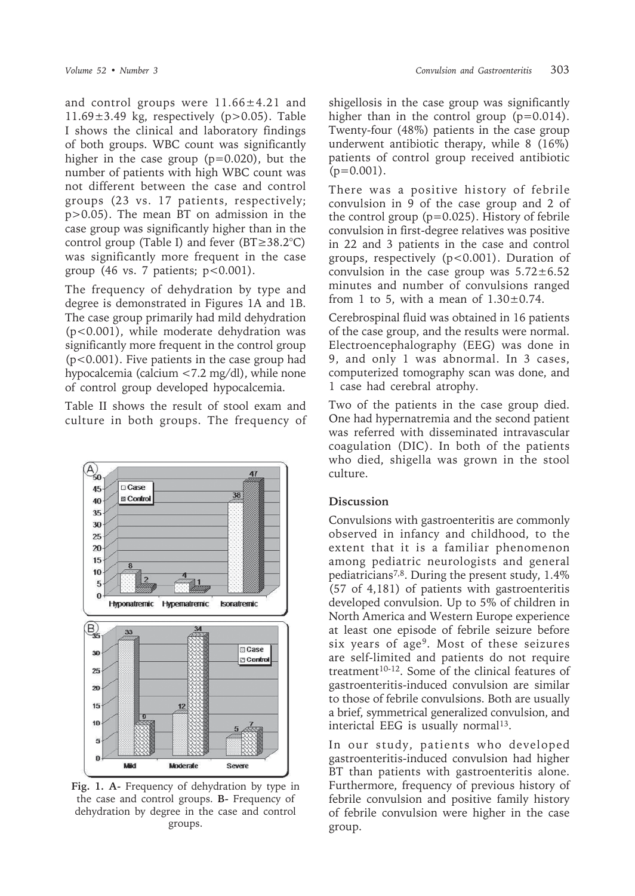and control groups were  $11.66 \pm 4.21$  and  $11.69 \pm 3.49$  kg, respectively (p>0.05). Table I shows the clinical and laboratory findings of both groups. WBC count was significantly higher in the case group (p=0.020), but the number of patients with high WBC count was not different between the case and control groups (23 vs. 17 patients, respectively; p>0.05). The mean BT on admission in the case group was significantly higher than in the control group (Table I) and fever (BT≥38.2°C) was significantly more frequent in the case group (46 vs. 7 patients;  $p < 0.001$ ).

The frequency of dehydration by type and degree is demonstrated in Figures 1A and 1B. The case group primarily had mild dehydration (p<0.001), while moderate dehydration was significantly more frequent in the control group (p<0.001). Five patients in the case group had hypocalcemia (calcium <7.2 mg/dl), while none of control group developed hypocalcemia.

Table II shows the result of stool exam and culture in both groups. The frequency of



**Fig. 1. A-** Frequency of dehydration by type in the case and control groups. **B-** Frequency of dehydration by degree in the case and control groups.

shigellosis in the case group was significantly higher than in the control group  $(p=0.014)$ . Twenty-four (48%) patients in the case group underwent antibiotic therapy, while 8 (16%) patients of control group received antibiotic  $(p=0.001)$ .

There was a positive history of febrile convulsion in 9 of the case group and 2 of the control group  $(p=0.025)$ . History of febrile convulsion in first-degree relatives was positive in 22 and 3 patients in the case and control groups, respectively (p<0.001). Duration of convulsion in the case group was  $5.72 \pm 6.52$ minutes and number of convulsions ranged from 1 to 5, with a mean of  $1.30\pm0.74$ .

Cerebrospinal fluid was obtained in 16 patients of the case group, and the results were normal. Electroencephalography (EEG) was done in 9, and only 1 was abnormal. In 3 cases, computerized tomography scan was done, and 1 case had cerebral atrophy.

Two of the patients in the case group died. One had hypernatremia and the second patient was referred with disseminated intravascular coagulation (DIC). In both of the patients who died, shigella was grown in the stool culture.

# **Discussion**

Convulsions with gastroenteritis are commonly observed in infancy and childhood, to the extent that it is a familiar phenomenon among pediatric neurologists and general pediatricians7,8. During the present study, 1.4% (57 of 4,181) of patients with gastroenteritis developed convulsion. Up to 5% of children in North America and Western Europe experience at least one episode of febrile seizure before six years of age9. Most of these seizures are self-limited and patients do not require treatment<sup>10-12</sup>. Some of the clinical features of gastroenteritis-induced convulsion are similar to those of febrile convulsions. Both are usually a brief, symmetrical generalized convulsion, and interictal EEG is usually normal<sup>13</sup>.

In our study, patients who developed gastroenteritis-induced convulsion had higher BT than patients with gastroenteritis alone. Furthermore, frequency of previous history of febrile convulsion and positive family history of febrile convulsion were higher in the case group.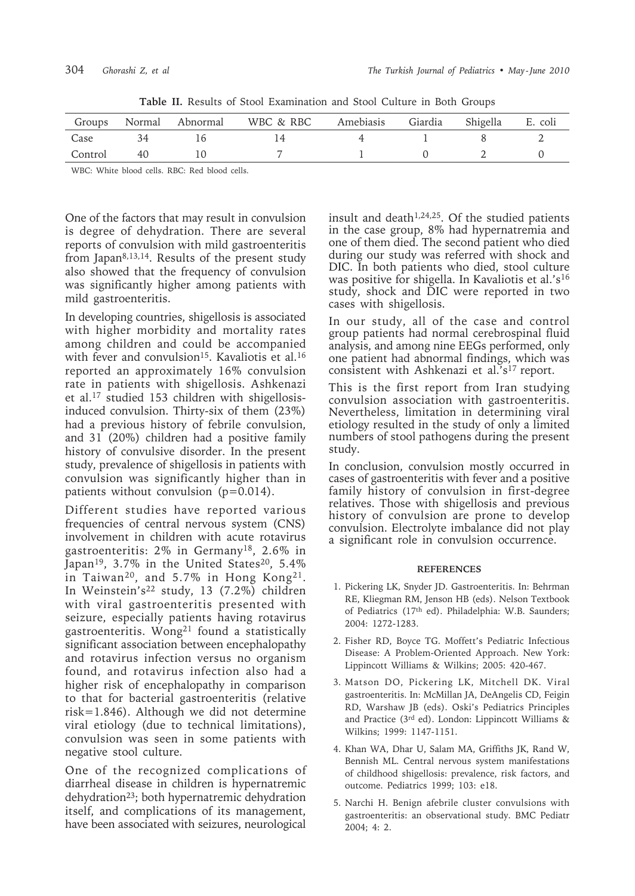| Groups  |    | Normal Abnormal | WBC & RBC | Amebiasis Giardia | Shigella | E. coli |
|---------|----|-----------------|-----------|-------------------|----------|---------|
| Case    |    |                 |           |                   |          |         |
| Control | 40 |                 |           |                   |          |         |

**Table II.** Results of Stool Examination and Stool Culture in Both Groups

WBC: White blood cells. RBC: Red blood cells.

One of the factors that may result in convulsion is degree of dehydration. There are several reports of convulsion with mild gastroenteritis from Japan8,13,14. Results of the present study also showed that the frequency of convulsion was significantly higher among patients with mild gastroenteritis.

In developing countries, shigellosis is associated with higher morbidity and mortality rates among children and could be accompanied with fever and convulsion<sup>15</sup>. Kavaliotis et al.<sup>16</sup> reported an approximately 16% convulsion rate in patients with shigellosis. Ashkenazi et al.17 studied 153 children with shigellosisinduced convulsion. Thirty-six of them (23%) had a previous history of febrile convulsion, and 31 (20%) children had a positive family history of convulsive disorder. In the present study, prevalence of shigellosis in patients with convulsion was significantly higher than in patients without convulsion (p=0.014).

Different studies have reported various frequencies of central nervous system (CNS) involvement in children with acute rotavirus gastroenteritis: 2% in Germany18, 2.6% in Japan<sup>19</sup>, 3.7% in the United States<sup>20</sup>, 5.4% in Taiwan<sup>20</sup>, and 5.7% in Hong Kong<sup>21</sup>. In Weinstein's<sup>22</sup> study, 13 (7.2%) children with viral gastroenteritis presented with seizure, especially patients having rotavirus gastroenteritis. Wong<sup>21</sup> found a statistically significant association between encephalopathy and rotavirus infection versus no organism found, and rotavirus infection also had a higher risk of encephalopathy in comparison to that for bacterial gastroenteritis (relative risk=1.846). Although we did not determine viral etiology (due to technical limitations), convulsion was seen in some patients with negative stool culture.

One of the recognized complications of diarrheal disease in children is hypernatremic dehydration23; both hypernatremic dehydration itself, and complications of its management, have been associated with seizures, neurological

insult and death<sup> $1,24,25$ </sup>. Of the studied patients in the case group, 8% had hypernatremia and one of them died. The second patient who died during our study was referred with shock and DIC. In both patients who died, stool culture was positive for shigella. In Kavaliotis et al.'s16 study, shock and DIC were reported in two cases with shigellosis.

In our study, all of the case and control group patients had normal cerebrospinal fluid analysis, and among nine EEGs performed, only one patient had abnormal findings, which was consistent with Ashkenazi et al.'s<sup>17</sup> report.

This is the first report from Iran studying convulsion association with gastroenteritis. Nevertheless, limitation in determining viral etiology resulted in the study of only a limited numbers of stool pathogens during the present study.

In conclusion, convulsion mostly occurred in cases of gastroenteritis with fever and a positive family history of convulsion in first-degree relatives. Those with shigellosis and previous history of convulsion are prone to develop convulsion. Electrolyte imbalance did not play a significant role in convulsion occurrence.

### **REFERENCES**

- 1. Pickering LK, Snyder JD. Gastroenteritis. In: Behrman RE, Kliegman RM, Jenson HB (eds). Nelson Textbook of Pediatrics (17th ed). Philadelphia: W.B. Saunders; 2004: 1272-1283.
- 2. Fisher RD, Boyce TG. Moffett's Pediatric Infectious Disease: A Problem-Oriented Approach. New York: Lippincott Williams & Wilkins; 2005: 420-467.
- 3. Matson DO, Pickering LK, Mitchell DK. Viral gastroenteritis. In: McMillan JA, DeAngelis CD, Feigin RD, Warshaw JB (eds). Oski's Pediatrics Principles and Practice (3rd ed). London: Lippincott Williams & Wilkins; 1999: 1147-1151.
- 4. Khan WA, Dhar U, Salam MA, Griffiths JK, Rand W, Bennish ML. Central nervous system manifestations of childhood shigellosis: prevalence, risk factors, and outcome. Pediatrics 1999; 103: e18.
- 5. Narchi H. Benign afebrile cluster convulsions with gastroenteritis: an observational study. BMC Pediatr 2004; 4: 2.